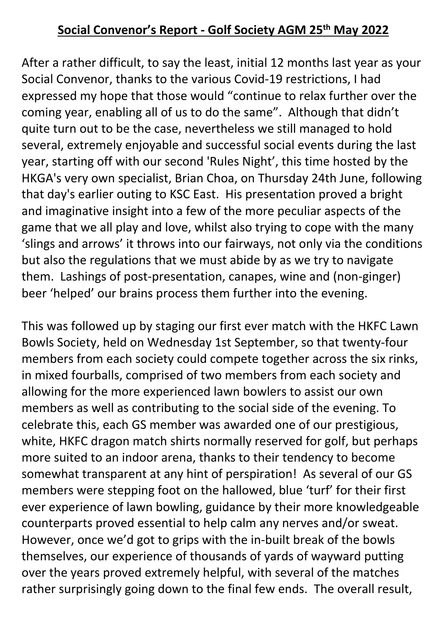## **Social Convenor's Report - Golf Society AGM 25th May 2022**

After a rather difficult, to say the least, initial 12 months last year as your Social Convenor, thanks to the various Covid-19 restrictions, I had expressed my hope that those would "continue to relax further over the coming year, enabling all of us to do the same". Although that didn't quite turn out to be the case, nevertheless we still managed to hold several, extremely enjoyable and successful social events during the last year, starting off with our second 'Rules Night', this time hosted by the HKGA's very own specialist, Brian Choa, on Thursday 24th June, following that day's earlier outing to KSC East. His presentation proved a bright and imaginative insight into a few of the more peculiar aspects of the game that we all play and love, whilst also trying to cope with the many 'slings and arrows' it throws into our fairways, not only via the conditions but also the regulations that we must abide by as we try to navigate them. Lashings of post-presentation, canapes, wine and (non-ginger) beer 'helped' our brains process them further into the evening.

This was followed up by staging our first ever match with the HKFC Lawn Bowls Society, held on Wednesday 1st September, so that twenty-four members from each society could compete together across the six rinks, in mixed fourballs, comprised of two members from each society and allowing for the more experienced lawn bowlers to assist our own members as well as contributing to the social side of the evening. To celebrate this, each GS member was awarded one of our prestigious, white, HKFC dragon match shirts normally reserved for golf, but perhaps more suited to an indoor arena, thanks to their tendency to become somewhat transparent at any hint of perspiration! As several of our GS members were stepping foot on the hallowed, blue 'turf' for their first ever experience of lawn bowling, guidance by their more knowledgeable counterparts proved essential to help calm any nerves and/or sweat. However, once we'd got to grips with the in-built break of the bowls themselves, our experience of thousands of yards of wayward putting over the years proved extremely helpful, with several of the matches rather surprisingly going down to the final few ends. The overall result,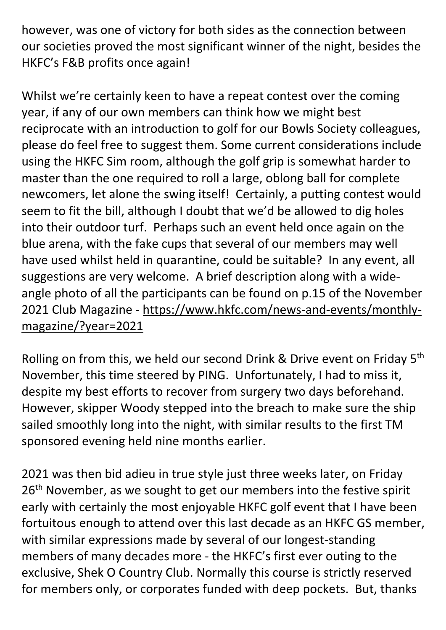however, was one of victory for both sides as the connection between our societies proved the most significant winner of the night, besides the HKFC's F&B profits once again!

Whilst we're certainly keen to have a repeat contest over the coming year, if any of our own members can think how we might best reciprocate with an introduction to golf for our Bowls Society colleagues, please do feel free to suggest them. Some current considerations include using the HKFC Sim room, although the golf grip is somewhat harder to master than the one required to roll a large, oblong ball for complete newcomers, let alone the swing itself! Certainly, a putting contest would seem to fit the bill, although I doubt that we'd be allowed to dig holes into their outdoor turf. Perhaps such an event held once again on the blue arena, with the fake cups that several of our members may well have used whilst held in quarantine, could be suitable? In any event, all suggestions are very welcome. A brief description along with a wideangle photo of all the participants can be found on p.15 of the November 2021 Club Magazine - https://www.hkfc.com/news-and-events/monthlymagazine/?year=2021

Rolling on from this, we held our second Drink & Drive event on Friday 5th November, this time steered by PING. Unfortunately, I had to miss it, despite my best efforts to recover from surgery two days beforehand. However, skipper Woody stepped into the breach to make sure the ship sailed smoothly long into the night, with similar results to the first TM sponsored evening held nine months earlier.

2021 was then bid adieu in true style just three weeks later, on Friday 26<sup>th</sup> November, as we sought to get our members into the festive spirit early with certainly the most enjoyable HKFC golf event that I have been fortuitous enough to attend over this last decade as an HKFC GS member, with similar expressions made by several of our longest-standing members of many decades more - the HKFC's first ever outing to the exclusive, Shek O Country Club. Normally this course is strictly reserved for members only, or corporates funded with deep pockets. But, thanks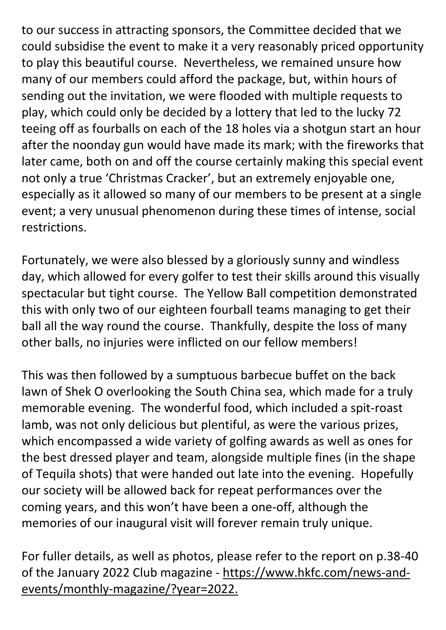to our success in attracting sponsors, the Committee decided that we could subsidise the event to make it a very reasonably priced opportunity to play this beautiful course. Nevertheless, we remained unsure how many of our members could afford the package, but, within hours of sending out the invitation, we were flooded with multiple requests to play, which could only be decided by a lottery that led to the lucky 72 teeing off as fourballs on each of the 18 holes via a shotgun start an hour after the noonday gun would have made its mark; with the fireworks that later came, both on and off the course certainly making this special event not only a true 'Christmas Cracker', but an extremely enjoyable one, especially as it allowed so many of our members to be present at a single event; a very unusual phenomenon during these times of intense, social restrictions.

Fortunately, we were also blessed by a gloriously sunny and windless day, which allowed for every golfer to test their skills around this visually spectacular but tight course. The Yellow Ball competition demonstrated this with only two of our eighteen fourball teams managing to get their ball all the way round the course. Thankfully, despite the loss of many other balls, no injuries were inflicted on our fellow members!

This was then followed by a sumptuous barbecue buffet on the back lawn of Shek O overlooking the South China sea, which made for a truly memorable evening. The wonderful food, which included a spit-roast lamb, was not only delicious but plentiful, as were the various prizes, which encompassed a wide variety of golfing awards as well as ones for the best dressed player and team, alongside multiple fines (in the shape of Tequila shots) that were handed out late into the evening. Hopefully our society will be allowed back for repeat performances over the coming years, and this won't have been a one-off, although the memories of our inaugural visit will forever remain truly unique.

For fuller details, as well as photos, please refer to the report on p.38-40 of the January 2022 Club magazine - https://www.hkfc.com/news-andevents/monthly-magazine/?year=2022.